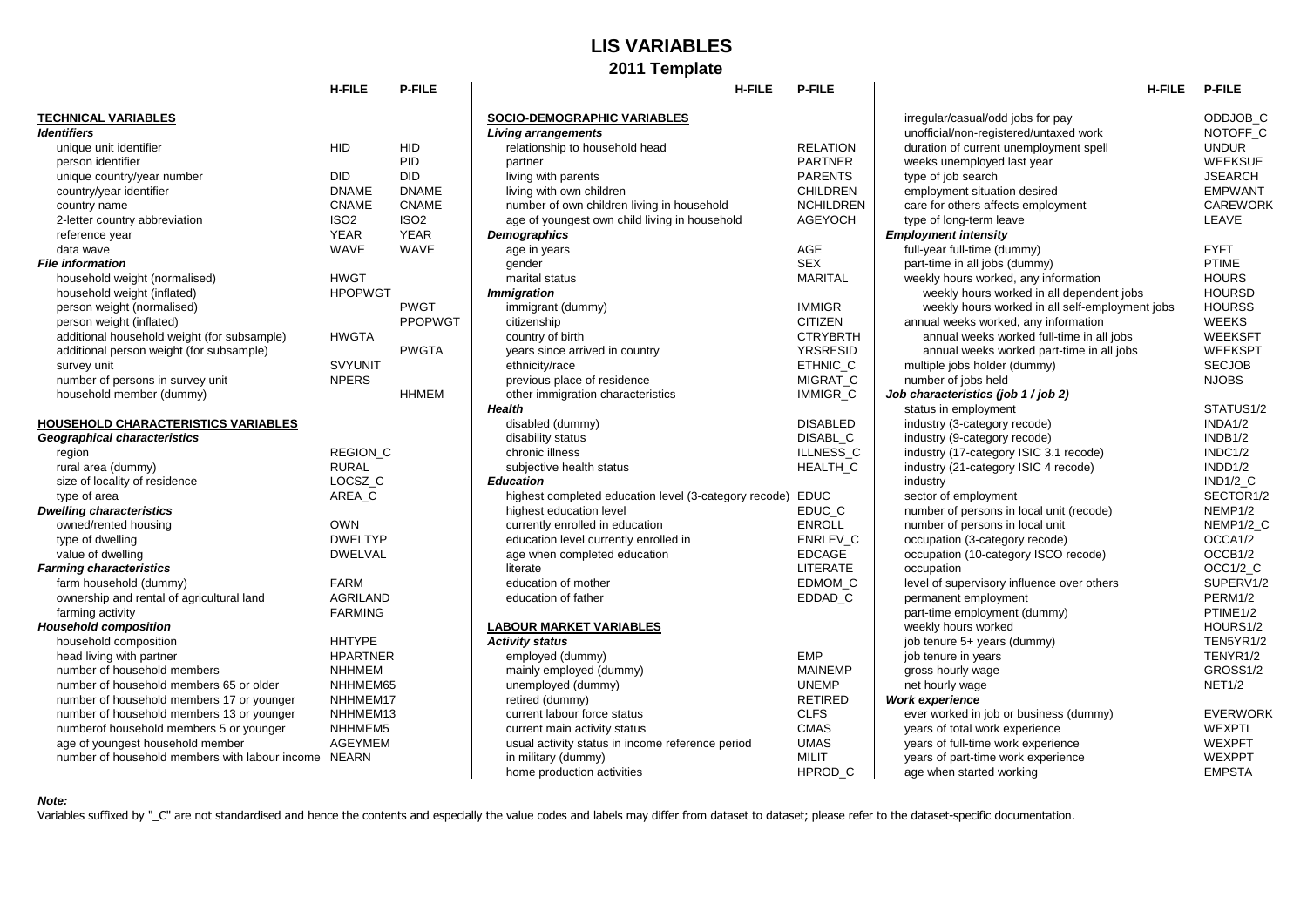## **LIS VARIABLES 2011 Template**

|                                                      | <b>H-FILE</b>    | <b>P-FILE</b>    | <b>H-FILE</b>                                         | P-FILE           | <b>H-FILE</b>                                   | <b>P-FILE</b>        |
|------------------------------------------------------|------------------|------------------|-------------------------------------------------------|------------------|-------------------------------------------------|----------------------|
| <b>TECHNICAL VARIABLES</b>                           |                  |                  | <b>SOCIO-DEMOGRAPHIC VARIABLES</b>                    |                  | irregular/casual/odd jobs for pay               | ODDJOB C             |
| <b>Identifiers</b>                                   |                  |                  | <b>Living arrangements</b>                            |                  | unofficial/non-registered/untaxed work          | NOTOFF C             |
| unique unit identifier                               | <b>HID</b>       | <b>HID</b>       | relationship to household head                        | <b>RELATION</b>  | duration of current unemployment spell          | <b>UNDUR</b>         |
| person identifier                                    |                  | PID              | partner                                               | <b>PARTNER</b>   | weeks unemployed last year                      | <b>WEEKSUE</b>       |
| unique country/year number                           | <b>DID</b>       | <b>DID</b>       | living with parents                                   | <b>PARENTS</b>   | type of job search                              | <b>JSEARCH</b>       |
| country/year identifier                              | <b>DNAME</b>     | <b>DNAME</b>     | living with own children                              | <b>CHILDREN</b>  | employment situation desired                    | <b>EMPWANT</b>       |
| country name                                         | <b>CNAME</b>     | <b>CNAME</b>     | number of own children living in household            | <b>NCHILDREN</b> | care for others affects employment              | <b>CAREWOR</b>       |
| 2-letter country abbreviation                        | ISO <sub>2</sub> | ISO <sub>2</sub> | age of youngest own child living in household         | <b>AGEYOCH</b>   | type of long-term leave                         | LEAVE                |
| reference year                                       | <b>YEAR</b>      | <b>YEAR</b>      | Demographics                                          |                  | <b>Employment intensity</b>                     |                      |
| data wave                                            | <b>WAVE</b>      | <b>WAVE</b>      | age in years                                          | AGE              | full-year full-time (dummy)                     | <b>FYFT</b>          |
| <b>File information</b>                              |                  |                  | gender                                                | <b>SEX</b>       | part-time in all jobs (dummy)                   | <b>PTIME</b>         |
| household weight (normalised)                        | <b>HWGT</b>      |                  | marital status                                        | <b>MARITAL</b>   | weekly hours worked, any information            | <b>HOURS</b>         |
| household weight (inflated)                          | <b>HPOPWGT</b>   |                  | <b>Immigration</b>                                    |                  | weekly hours worked in all dependent jobs       | <b>HOURSD</b>        |
| person weight (normalised)                           |                  | <b>PWGT</b>      | immigrant (dummy)                                     | <b>IMMIGR</b>    | weekly hours worked in all self-employment jobs | <b>HOURSS</b>        |
| person weight (inflated)                             |                  | <b>PPOPWGT</b>   | citizenship                                           | <b>CITIZEN</b>   | annual weeks worked, any information            | <b>WEEKS</b>         |
| additional household weight (for subsample)          | <b>HWGTA</b>     |                  | country of birth                                      | <b>CTRYBRTH</b>  | annual weeks worked full-time in all jobs       | <b>WEEKSFT</b>       |
| additional person weight (for subsample)             |                  | <b>PWGTA</b>     | years since arrived in country                        | <b>YRSRESID</b>  | annual weeks worked part-time in all jobs       | <b>WEEKSPT</b>       |
| survey unit                                          | <b>SVYUNIT</b>   |                  | ethnicity/race                                        | ETHNIC_C         | multiple jobs holder (dummy)                    | <b>SECJOB</b>        |
| number of persons in survey unit                     | <b>NPERS</b>     |                  | previous place of residence                           | MIGRAT C         | number of jobs held                             | <b>NJOBS</b>         |
| household member (dummy)                             |                  | <b>HHMEM</b>     | other immigration characteristics                     | <b>IMMIGR C</b>  | Job characteristics (job 1 / job 2)             |                      |
|                                                      |                  |                  | Health                                                |                  | status in employment                            | STATUS1/2            |
| <b>HOUSEHOLD CHARACTERISTICS VARIABLES</b>           |                  |                  | disabled (dummy)                                      | <b>DISABLED</b>  | industry (3-category recode)                    | INDA1/2              |
| <b>Geographical characteristics</b>                  |                  |                  | disability status                                     | DISABL C         | industry (9-category recode)                    | INDB1/2              |
| region                                               | <b>REGION C</b>  |                  | chronic illness                                       | ILLNESS C        | industry (17-category ISIC 3.1 recode)          | INDC1/2              |
| rural area (dummy)                                   | <b>RURAL</b>     |                  | subjective health status                              | HEALTH C         | industry (21-category ISIC 4 recode)            | INDD1/2              |
| size of locality of residence                        | LOCSZ C          |                  | <b>Education</b>                                      |                  | industry                                        | <b>IND1/2 C</b>      |
| type of area                                         | AREA_C           |                  | highest completed education level (3-category recode) | <b>EDUC</b>      | sector of employment                            | SECTOR1/2            |
| <b>Dwelling characteristics</b>                      |                  |                  | highest education level                               | EDUC C           | number of persons in local unit (recode)        | NEMP <sub>1/2</sub>  |
| owned/rented housing                                 | <b>OWN</b>       |                  | currently enrolled in education                       | <b>ENROLL</b>    | number of persons in local unit                 | NEMP1/2_C            |
| type of dwelling                                     | <b>DWELTYP</b>   |                  | education level currently enrolled in                 | <b>ENRLEV C</b>  | occupation (3-category recode)                  | OCCA <sub>1</sub> /2 |
| value of dwelling                                    | <b>DWELVAL</b>   |                  | age when completed education                          | <b>EDCAGE</b>    | occupation (10-category ISCO recode)            | OCCB1/2              |
| <b>Farming characteristics</b>                       |                  |                  | literate                                              | <b>LITERATE</b>  | occupation                                      | OCC1/2 C             |
| farm household (dummy)                               | <b>FARM</b>      |                  | education of mother                                   | EDMOM C          | level of supervisory influence over others      | SUPERV1/2            |
| ownership and rental of agricultural land            | <b>AGRILAND</b>  |                  | education of father                                   | EDDAD C          | permanent employment                            | PERM1/2              |
| farming activity                                     | <b>FARMING</b>   |                  |                                                       |                  | part-time employment (dummy)                    | PTIME <sub>1/2</sub> |
| <b>Household composition</b>                         |                  |                  | <b>LABOUR MARKET VARIABLES</b>                        |                  | weekly hours worked                             | HOURS1/2             |
| household composition                                | <b>HHTYPE</b>    |                  | <b>Activity status</b>                                |                  | job tenure 5+ years (dummy)                     | TEN5YR1/2            |
| head living with partner                             | <b>HPARTNER</b>  |                  | employed (dummy)                                      | <b>EMP</b>       | job tenure in years                             | TENYR1/2             |
| number of household members                          | <b>NHHMEM</b>    |                  | mainly employed (dummy)                               | <b>MAINEMP</b>   | gross hourly wage                               | GROSS1/2             |
| number of household members 65 or older              | NHHMEM65         |                  | unemployed (dummy)                                    | <b>UNEMP</b>     | net hourly wage                                 | <b>NET1/2</b>        |
| number of household members 17 or younger            | NHHMEM17         |                  | retired (dummy)                                       | <b>RETIRED</b>   | <b>Work experience</b>                          |                      |
| number of household members 13 or younger            | NHHMEM13         |                  | current labour force status                           | <b>CLFS</b>      | ever worked in job or business (dummy)          | <b>EVERWORI</b>      |
| numberof household members 5 or younger              | NHHMEM5          |                  | current main activity status                          | <b>CMAS</b>      | years of total work experience                  | <b>WEXPTL</b>        |
| age of youngest household member                     | <b>AGEYMEM</b>   |                  | usual activity status in income reference period      | <b>UMAS</b>      | years of full-time work experience              | <b>WEXPFT</b>        |
| number of household members with labour income NEARN |                  |                  | in military (dummy)                                   | <b>MILIT</b>     | years of part-time work experience              | <b>WEXPPT</b>        |
|                                                      |                  |                  |                                                       |                  |                                                 |                      |

| H-FILE         | <b>P-FILE</b>    | <b>H-FILE</b>                                              | <b>P-FILE</b>    | <b>H-FILE</b>                                   | <b>P-FILE</b>     |
|----------------|------------------|------------------------------------------------------------|------------------|-------------------------------------------------|-------------------|
|                |                  | <b>SOCIO-DEMOGRAPHIC VARIABLES</b>                         |                  | irregular/casual/odd jobs for pay               | <b>ODDJC</b>      |
|                |                  | <b>Living arrangements</b>                                 |                  | unofficial/non-registered/untaxed work          | <b>NOTO</b>       |
| HID            | HID              | relationship to household head                             | <b>RELATION</b>  | duration of current unemployment spell          | <b>UNDUI</b>      |
|                | <b>PID</b>       | partner                                                    | <b>PARTNER</b>   | weeks unemployed last year                      | <b>WEEK</b>       |
| DID            | <b>DID</b>       | living with parents                                        | <b>PARENTS</b>   | type of job search                              | <b>JSEAR</b>      |
| <b>DNAME</b>   | <b>DNAME</b>     | living with own children                                   | <b>CHILDREN</b>  | employment situation desired                    | <b>EMPW</b>       |
| CNAME          | <b>CNAME</b>     | number of own children living in household                 | <b>NCHILDREN</b> | care for others affects employment              | <b>CAREV</b>      |
| ISO2           | ISO <sub>2</sub> | age of youngest own child living in household              | <b>AGEYOCH</b>   | type of long-term leave                         | LEAVE             |
| YEAR           | YEAR             | Demographics                                               |                  | <b>Employment intensity</b>                     |                   |
| WAVE           | <b>WAVE</b>      | age in years                                               | <b>AGE</b>       | full-year full-time (dummy)                     | <b>FYFT</b>       |
|                |                  | gender                                                     | <b>SEX</b>       | part-time in all jobs (dummy)                   | PTIME             |
| HWGT           |                  | marital status                                             | <b>MARITAL</b>   | weekly hours worked, any information            | HOUR:             |
| <b>HPOPWGT</b> |                  | <b>Immigration</b>                                         |                  | weekly hours worked in all dependent jobs       | HOUR:             |
|                | <b>PWGT</b>      | immigrant (dummy)                                          | <b>IMMIGR</b>    | weekly hours worked in all self-employment jobs | HOUR:             |
|                | <b>PPOPWGT</b>   | citizenship                                                | <b>CITIZEN</b>   | annual weeks worked, any information            | <b>WEEK</b>       |
| HWGTA          |                  | country of birth                                           | <b>CTRYBRTH</b>  | annual weeks worked full-time in all jobs       | WEEK:             |
|                | <b>PWGTA</b>     | years since arrived in country                             | <b>YRSRESID</b>  | annual weeks worked part-time in all jobs       | <b>WEEK</b>       |
| SVYUNIT        |                  | ethnicity/race                                             | ETHNIC_C         | multiple jobs holder (dummy)                    | <b>SECJC</b>      |
| NPERS          |                  | previous place of residence                                | MIGRAT_C         | number of jobs held                             | <b>NJOBS</b>      |
|                | <b>HHMEM</b>     | other immigration characteristics                          | IMMIGR_C         | Job characteristics (job 1 / job 2)             |                   |
|                |                  | Health                                                     |                  | status in employment                            | <b>STATL</b>      |
|                |                  | disabled (dummy)                                           | <b>DISABLED</b>  | industry (3-category recode)                    | INDA1/            |
|                |                  | disability status                                          | DISABL_C         | industry (9-category recode)                    | INDB <sub>1</sub> |
| REGION C       |                  | chronic illness                                            | ILLNESS C        | industry (17-category ISIC 3.1 recode)          | INDC <sub>1</sub> |
| RURAL          |                  | subjective health status                                   | HEALTH_C         | industry (21-category ISIC 4 recode)            | INDD <sub>1</sub> |
| LOCSZ C        |                  | <b>Education</b>                                           |                  | industry                                        | <b>IND1/2</b>     |
| AREA_C         |                  | highest completed education level (3-category recode) EDUC |                  | sector of employment                            | <b>SECTO</b>      |
|                |                  | highest education level                                    | EDUC_C           | number of persons in local unit (recode)        | NEMP <sup>®</sup> |
| OWN            |                  | currently enrolled in education                            | <b>ENROLL</b>    | number of persons in local unit                 | NEMP <sup>®</sup> |
| <b>DWELTYP</b> |                  | education level currently enrolled in                      | ENRLEV C         | occupation (3-category recode)                  | OCCA <sup>-</sup> |
| <b>DWELVAL</b> |                  | age when completed education                               | <b>EDCAGE</b>    | occupation (10-category ISCO recode)            | OCCB <sup>-</sup> |
|                |                  | literate                                                   | LITERATE         | occupation                                      | OCC1/             |
| FARM           |                  | education of mother                                        | EDMOM C          | level of supervisory influence over others      | <b>SUPEF</b>      |
| AGRILAND       |                  | education of father                                        | EDDAD_C          | permanent employment                            | <b>PERM</b>       |
| FARMING        |                  |                                                            |                  | part-time employment (dummy)                    | <b>PTIME</b>      |
|                |                  | <b>LABOUR MARKET VARIABLES</b>                             |                  | weekly hours worked                             | HOUR:             |
| HHTYPE         |                  | <b>Activity status</b>                                     |                  | job tenure 5+ years (dummy)                     | TEN5Y             |
| HPARTNER       |                  | employed (dummy)                                           | <b>EMP</b>       | job tenure in years                             | <b>TENYF</b>      |
| NHHMEM         |                  | mainly employed (dummy)                                    | <b>MAINEMP</b>   | gross hourly wage                               | GROS:             |
| NHHMEM65       |                  | unemployed (dummy)                                         | <b>UNEMP</b>     | net hourly wage                                 | <b>NET1/2</b>     |
| NHHMEM17       |                  | retired (dummy)                                            | <b>RETIRED</b>   | <b>Work experience</b>                          |                   |
| NHHMEM13       |                  | current labour force status                                | <b>CLFS</b>      | ever worked in job or business (dummy)          | <b>EVERV</b>      |
| NHHMEM5        |                  | current main activity status                               | <b>CMAS</b>      | years of total work experience                  | WEXP              |
| AGEYMEM        |                  | usual activity status in income reference period           | <b>UMAS</b>      | years of full-time work experience              | <b>WEXP</b>       |
| NEARN          |                  | in military (dummy)                                        | <b>MILIT</b>     | years of part-time work experience              | <b>WEXP</b>       |
|                |                  | home production activities                                 | HPROD C          | age when started working                        | EMPS <sup>-</sup> |
|                |                  |                                                            |                  |                                                 |                   |

|                                                      | <b>H-FILE</b>      | <b>P-FILE</b>    | <b>H-FILE</b>                                         | <b>P-FILE</b>    | <b>H-FILE</b>                                   | <b>P-FILE</b>        |
|------------------------------------------------------|--------------------|------------------|-------------------------------------------------------|------------------|-------------------------------------------------|----------------------|
| CHNICAL VARIABLES                                    |                    |                  | <b>SOCIO-DEMOGRAPHIC VARIABLES</b>                    |                  | irregular/casual/odd jobs for pay               | ODDJOB C             |
| ntifiers                                             |                    |                  | <b>Living arrangements</b>                            |                  | unofficial/non-registered/untaxed work          | NOTOFF C             |
| unique unit identifier                               | <b>HID</b>         | HID              | relationship to household head                        | <b>RELATION</b>  | duration of current unemployment spell          | <b>UNDUR</b>         |
| person identifier                                    |                    | <b>PID</b>       | partner                                               | <b>PARTNER</b>   | weeks unemployed last year                      | <b>WEEKSUE</b>       |
| unique country/year number                           | <b>DID</b>         | <b>DID</b>       | living with parents                                   | <b>PARENTS</b>   | type of job search                              | <b>JSEARCH</b>       |
| country/year identifier                              | <b>DNAME</b>       | <b>DNAME</b>     | living with own children                              | <b>CHILDREN</b>  | employment situation desired                    | <b>EMPWANT</b>       |
| country name                                         | <b>CNAME</b>       | <b>CNAME</b>     | number of own children living in household            | <b>NCHILDREN</b> | care for others affects employment              | <b>CAREWORK</b>      |
| 2-letter country abbreviation                        | ISO <sub>2</sub>   | ISO <sub>2</sub> | age of youngest own child living in household         | <b>AGEYOCH</b>   | type of long-term leave                         | LEAVE                |
| reference year                                       | <b>YEAR</b>        | <b>YEAR</b>      | <b>Demographics</b>                                   |                  | <b>Employment intensity</b>                     |                      |
| data wave                                            | <b>WAVE</b>        | <b>WAVE</b>      | age in years                                          | <b>AGE</b>       | full-year full-time (dummy)                     | <b>FYFT</b>          |
| information                                          |                    |                  | gender                                                | <b>SEX</b>       | part-time in all jobs (dummy)                   | PTIME                |
| household weight (normalised)                        | <b>HWGT</b>        |                  | marital status                                        | <b>MARITAL</b>   | weekly hours worked, any information            | <b>HOURS</b>         |
| household weight (inflated)                          | <b>HPOPWGT</b>     |                  | <b>Immigration</b>                                    |                  | weekly hours worked in all dependent jobs       | <b>HOURSD</b>        |
| person weight (normalised)                           |                    | <b>PWGT</b>      | immigrant (dummy)                                     | <b>IMMIGR</b>    | weekly hours worked in all self-employment jobs | <b>HOURSS</b>        |
| person weight (inflated)                             |                    | <b>PPOPWGT</b>   | citizenship                                           | <b>CITIZEN</b>   | annual weeks worked, any information            | <b>WEEKS</b>         |
| additional household weight (for subsample)          | <b>HWGTA</b>       |                  | country of birth                                      | <b>CTRYBRTH</b>  | annual weeks worked full-time in all jobs       | <b>WEEKSFT</b>       |
| additional person weight (for subsample)             |                    | <b>PWGTA</b>     | years since arrived in country                        | <b>YRSRESID</b>  | annual weeks worked part-time in all jobs       | <b>WEEKSPT</b>       |
| survey unit                                          | <b>SVYUNIT</b>     |                  | ethnicity/race                                        | ETHNIC C         | multiple jobs holder (dummy)                    | <b>SECJOB</b>        |
| number of persons in survey unit                     | <b>NPERS</b>       |                  | previous place of residence                           | MIGRAT_C         | number of jobs held                             | <b>NJOBS</b>         |
| household member (dummy)                             |                    | <b>HHMEM</b>     | other immigration characteristics                     | <b>IMMIGR C</b>  | Job characteristics (job 1 / job 2)             |                      |
|                                                      |                    |                  | <b>Health</b>                                         |                  | status in employment                            | STATUS1/2            |
| USEHOLD CHARACTERISTICS VARIABLES                    |                    |                  | disabled (dummy)                                      | <b>DISABLED</b>  | industry (3-category recode)                    | INDA1/2              |
| ographical characteristics                           |                    |                  | disability status                                     | DISABL_C         | industry (9-category recode)                    | INDB1/2              |
| region                                               | <b>REGION C</b>    |                  | chronic illness                                       | ILLNESS C        | industry (17-category ISIC 3.1 recode)          | INDC1/2              |
| rural area (dummy)                                   | <b>RURAL</b>       |                  | subjective health status                              | <b>HEALTH C</b>  | industry (21-category ISIC 4 recode)            | INDD1/2              |
| size of locality of residence                        | LOCSZ <sub>C</sub> |                  | <b>Education</b>                                      |                  | industry                                        | <b>IND1/2_C</b>      |
| type of area                                         | AREA C             |                  | highest completed education level (3-category recode) | <b>EDUC</b>      | sector of employment                            | SECTOR1/2            |
| elling characteristics                               |                    |                  | highest education level                               | EDUC C           | number of persons in local unit (recode)        | NEMP1/2              |
| owned/rented housing                                 | <b>OWN</b>         |                  | currently enrolled in education                       | <b>ENROLL</b>    | number of persons in local unit                 | NEMP1/2_C            |
| type of dwelling                                     | <b>DWELTYP</b>     |                  | education level currently enrolled in                 | ENRLEV_C         | occupation (3-category recode)                  | OCCA1/2              |
| value of dwelling                                    | <b>DWELVAL</b>     |                  | age when completed education                          | <b>EDCAGE</b>    | occupation (10-category ISCO recode)            | OCCB1/2              |
| ming characteristics                                 |                    |                  | literate                                              | LITERATE         | occupation                                      | OCC1/2 C             |
| farm household (dummy)                               | <b>FARM</b>        |                  | education of mother                                   | EDMOM C          | level of supervisory influence over others      | SUPERV1/2            |
| ownership and rental of agricultural land            | <b>AGRILAND</b>    |                  | education of father                                   | EDDAD_C          | permanent employment                            | PERM1/2              |
| farming activity                                     | <b>FARMING</b>     |                  |                                                       |                  | part-time employment (dummy)                    | PTIME <sub>1/2</sub> |
| usehold composition                                  |                    |                  | <b>LABOUR MARKET VARIABLES</b>                        |                  | weekly hours worked                             | HOURS1/2             |
| household composition                                | <b>HHTYPE</b>      |                  | <b>Activity status</b>                                |                  | job tenure 5+ years (dummy)                     | TEN5YR1/2            |
| head living with partner                             | <b>HPARTNER</b>    |                  | employed (dummy)                                      | <b>EMP</b>       | job tenure in years                             | TENYR1/2             |
| number of household members                          | <b>NHHMEM</b>      |                  | mainly employed (dummy)                               | <b>MAINEMP</b>   | gross hourly wage                               | GROSS1/2             |
| number of household members 65 or older              | NHHMEM65           |                  | unemployed (dummy)                                    | <b>UNEMP</b>     | net hourly wage                                 | <b>NET1/2</b>        |
| number of household members 17 or younger            | NHHMEM17           |                  | retired (dummy)                                       | <b>RETIRED</b>   | <b>Work experience</b>                          |                      |
| number of household members 13 or younger            | NHHMEM13           |                  | current labour force status                           | <b>CLFS</b>      | ever worked in job or business (dummy)          | <b>EVERWORK</b>      |
| numberof household members 5 or younger              | NHHMEM5            |                  | current main activity status                          | <b>CMAS</b>      | years of total work experience                  | WEXPTL               |
| age of youngest household member                     | <b>AGEYMEM</b>     |                  | usual activity status in income reference period      | <b>UMAS</b>      | years of full-time work experience              | <b>WEXPFT</b>        |
| number of household members with labour income NEARN |                    |                  | in military (dummy)                                   | <b>MILIT</b>     | years of part-time work experience              | WEXPPT               |
|                                                      |                    |                  | home production activities                            | HPROD C          | age when started working                        | <b>EMPSTA</b>        |

## *Note:*

Variables suffixed by "\_C" are not standardised and hence the contents and especially the value codes and labels may differ from dataset to dataset; please refer to the dataset-specific documentation.